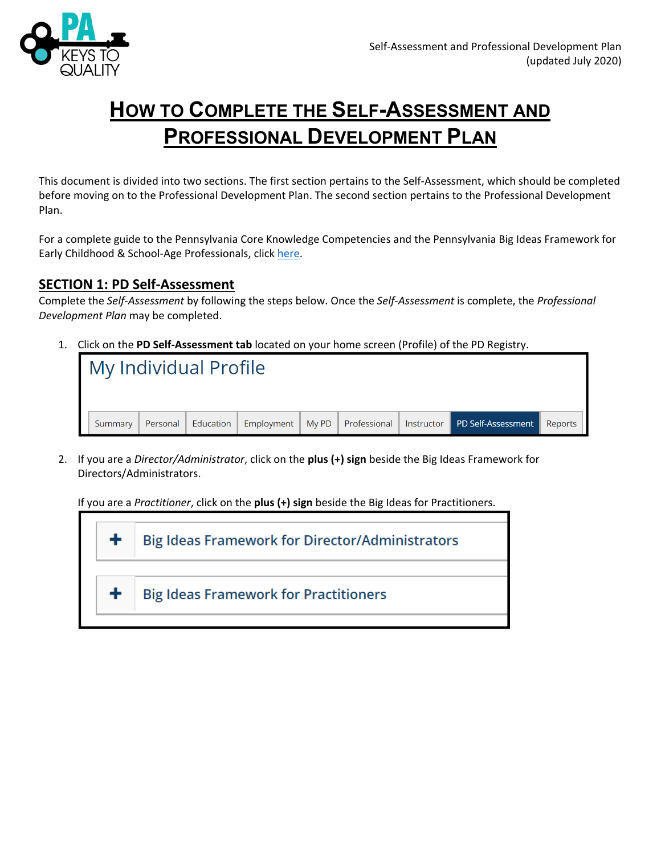

# **HOW TO COMPLETE THE SELF-ASSESSMENT AND PROFESSIONAL DEVELOPMENT PLAN**

This document is divided into two sections. The first section pertains to the Self‐Assessment, which should be completed before moving on to the Professional Development Plan. The second section pertains to the Professional Development Plan.

For a complete guide to the Pennsylvania Core Knowledge Competencies and the Pennsylvania Big Ideas Framework for Early Childhood & School-Age Professionals, click here.

### **SECTION 1: PD Self‐Assessment**

Complete the *Self‐Assessment* by following the steps below. Once the *Self‐Assessment* is complete, the *Professional Development Plan* may be completed.

1. Click on the **PD Self‐Assessment tab** located on your home screen (Profile) of the PD Registry.

| My Individual Profile |          |           |  |  |                                                                     |         |
|-----------------------|----------|-----------|--|--|---------------------------------------------------------------------|---------|
| Summary               | Personal | Education |  |  | Employment   My PD   Professional   Instructor   PD Self-Assessment | Reports |

2. If you are a *Director/Administrator*, click on the **plus (+) sign** beside the Big Ideas Framework for Directors/Administrators.

If you are a *Practitioner*, click on the **plus (+) sign** beside the Big Ideas for Practitioners.

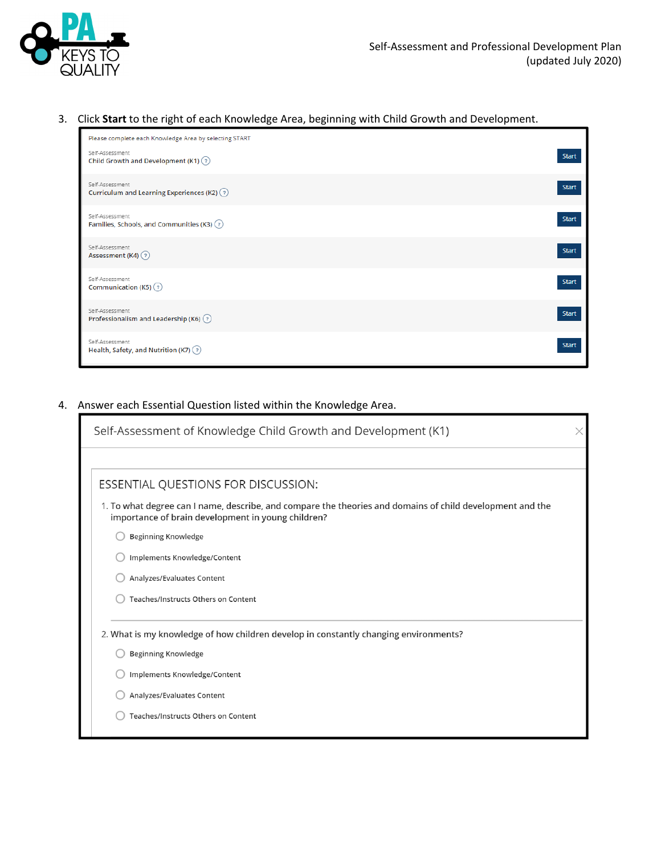

#### 3. Click **Start** to the right of each Knowledge Area, beginning with Child Growth and Development.

| Please complete each Knowledge Area by selecting START                              |              |
|-------------------------------------------------------------------------------------|--------------|
| Self-Assessment<br>Child Growth and Development (K1) $(2)$                          | <b>Start</b> |
| Self-Assessment<br>Curriculum and Learning Experiences (K2) $\binom{?}{?}$          | <b>Start</b> |
| Self-Assessment<br>Families, Schools, and Communities (K3) $\textcircled{\tiny{?}}$ | <b>Start</b> |
| Self-Assessment<br>Assessment (K4) (?)                                              | <b>Start</b> |
| Self-Assessment<br>Communication (K5) $(2)$                                         | <b>Start</b> |
| Self-Assessment<br>Professionalism and Leadership (K6) $\binom{?}{?}$               | <b>Start</b> |
| Self-Assessment<br>Health, Safety, and Nutrition (K7) $(2)$                         | <b>Start</b> |

#### 4. Answer each Essential Question listed within the Knowledge Area.

| Self-Assessment of Knowledge Child Growth and Development (K1)                                                                                                  | X |
|-----------------------------------------------------------------------------------------------------------------------------------------------------------------|---|
|                                                                                                                                                                 |   |
| ESSENTIAL QUESTIONS FOR DISCUSSION:                                                                                                                             |   |
| 1. To what degree can I name, describe, and compare the theories and domains of child development and the<br>importance of brain development in young children? |   |
| <b>Beginning Knowledge</b>                                                                                                                                      |   |
| Implements Knowledge/Content                                                                                                                                    |   |
| Analyzes/Evaluates Content                                                                                                                                      |   |
| Teaches/Instructs Others on Content                                                                                                                             |   |
| 2. What is my knowledge of how children develop in constantly changing environments?                                                                            |   |
| <b>Beginning Knowledge</b>                                                                                                                                      |   |
| Implements Knowledge/Content                                                                                                                                    |   |
| Analyzes/Evaluates Content                                                                                                                                      |   |
| Teaches/Instructs Others on Content                                                                                                                             |   |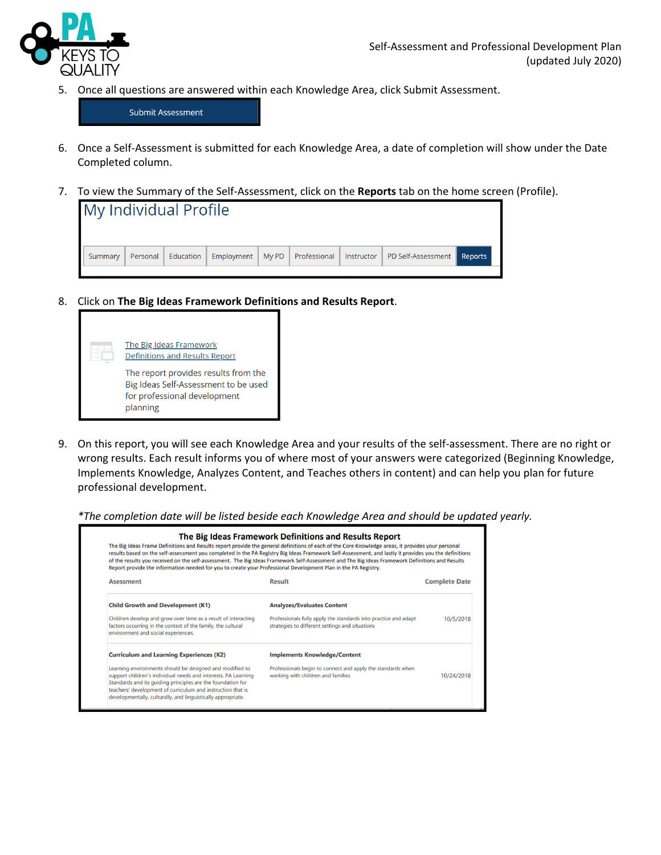

5. Once all questions are answered within each Knowledge Area, click Submit Assessment.

Submit Assessment

- 6. Once a Self‐Assessment is submitted for each Knowledge Area, a date of completion will show under the Date Completed column.
- 7. To view the Summary of the Self‐Assessment, click on the **Reports** tab on the home screen (Profile).

| Personal   Education  <br>Summary | Employment   My PD   Professional   Instructor   PD Self-Assessment   Reports |
|-----------------------------------|-------------------------------------------------------------------------------|

8. Click on **The Big Ideas Framework Definitions and Results Report**.



9. On this report, you will see each Knowledge Area and your results of the self-assessment. There are no right or wrong results. Each result informs you of where most of your answers were categorized (Beginning Knowledge, Implements Knowledge, Analyzes Content, and Teaches others in content) and can help you plan for future professional development.

*\*The completion date will be listed beside each Knowledge Area and should be updated yearly.* 

| Report provide the information needed for you to create your Professional Development Plan in the PA Registry.                                                                                                                                                                                                           | The Big Ideas Framework Definitions and Results Report<br>The Big Ideas Frame Definitions and Results report provide the general definitions of each of the Core Knowledge areas, it provides your personal<br>results based on the self-assessment you completed in the PA Registry Big Ideas Framework Self-Assessment, and lastly it provides you the definitions<br>of the results you received on the self-assessment. The Big Ideas Framework Self-Assessment and The Big Ideas Framework Definitions and Results |                      |
|--------------------------------------------------------------------------------------------------------------------------------------------------------------------------------------------------------------------------------------------------------------------------------------------------------------------------|-------------------------------------------------------------------------------------------------------------------------------------------------------------------------------------------------------------------------------------------------------------------------------------------------------------------------------------------------------------------------------------------------------------------------------------------------------------------------------------------------------------------------|----------------------|
| <b>Asessment</b>                                                                                                                                                                                                                                                                                                         | Result                                                                                                                                                                                                                                                                                                                                                                                                                                                                                                                  | <b>Complete Date</b> |
| <b>Child Growth and Development (K1)</b>                                                                                                                                                                                                                                                                                 | <b>Analyzes/Evaluates Content</b>                                                                                                                                                                                                                                                                                                                                                                                                                                                                                       |                      |
| Children develop and grow over time as a result of interacting<br>factors occurring in the context of the family, the cultural<br>environment and social experiences.                                                                                                                                                    | Professionals fully apply the standards into practice and adapt<br>strategies to different settings and situations                                                                                                                                                                                                                                                                                                                                                                                                      | 10/5/2018            |
| <b>Curriculum and Learning Experiences (K2)</b>                                                                                                                                                                                                                                                                          | <b>Implements Knowledge/Content</b>                                                                                                                                                                                                                                                                                                                                                                                                                                                                                     |                      |
| Learning environments should be designed and modified to<br>support children's individual needs and interests. PA Learning<br>Standards and its guiding principles are the foundation for<br>teachers' development of curriculum and instruction that is<br>developmentally, culturally, and linguistically appropriate. | Professionals begin to connect and apply the standards when<br>working with children and families                                                                                                                                                                                                                                                                                                                                                                                                                       | 10/24/2018           |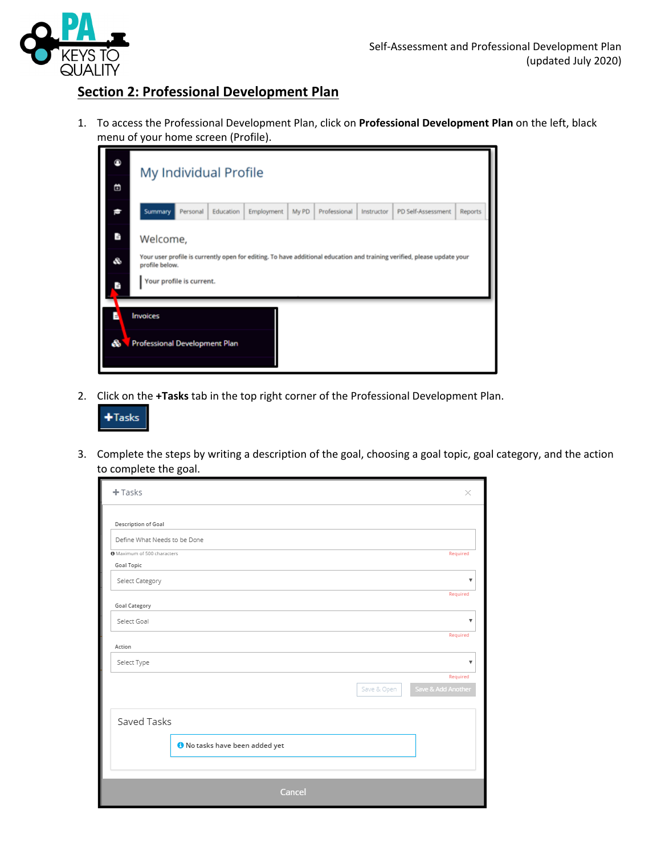

## **Section 2: Professional Development Plan**

1. To access the Professional Development Plan, click on **Professional Development Plan** on the left, black menu of your home screen (Profile).

| ⋒                         | My Individual Profile                                                                                                                                                             |
|---------------------------|-----------------------------------------------------------------------------------------------------------------------------------------------------------------------------------|
| 茴                         |                                                                                                                                                                                   |
| G                         | Summary<br>Personal<br>Education<br>Employment<br>My PD<br>Professional<br>PD Self-Assessment<br><b>Reports</b><br>Instructor                                                     |
| $\pi_{\rm g}$<br>S.<br>P. | Welcome,<br>Your user profile is currently open for editing. To have additional education and training verified, please update your<br>profile below.<br>Your profile is current. |
| æ                         | Invoices<br><b>Professional Development Plan</b>                                                                                                                                  |

2. Click on the **+Tasks** tab in the top right corner of the Professional Development Plan.



3. Complete the steps by writing a description of the goal, choosing a goal topic, goal category, and the action to complete the goal.

| $+$ Tasks<br>$\times$                                    |
|----------------------------------------------------------|
| Description of Goal                                      |
| Define What Needs to be Done                             |
| O Maximum of 500 characters<br>Required                  |
| Goal Topic                                               |
| Select Category<br>v                                     |
| Required<br>Goal Category                                |
| Select Goal<br>v                                         |
| Required<br>Action                                       |
| Select Type<br>v                                         |
| Required                                                 |
| Save & Add Another<br>Save & Open                        |
| Saved Tasks<br><sup>1</sup> No tasks have been added yet |
|                                                          |
| Cancel                                                   |
|                                                          |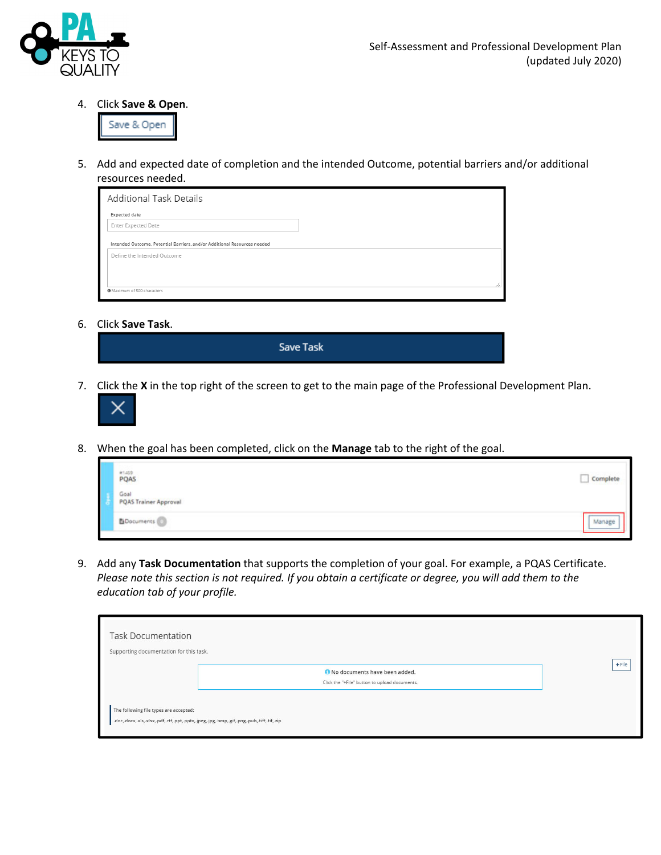

4. Click **Save & Open**.



5. Add and expected date of completion and the intended Outcome, potential barriers and/or additional resources needed.

| <b>Additional Task Details</b>                                                                          |  |
|---------------------------------------------------------------------------------------------------------|--|
| Expected date                                                                                           |  |
| Enter Expected Date                                                                                     |  |
| Intended Outcome, Potential Barriers, and/or Additional Resources needed<br>Define the Intended Outcome |  |
| O Maximum of 500 characters                                                                             |  |

6. Click **Save Task**.

| <b>Save Task</b> |
|------------------|
|                  |
|                  |

7. Click the **X** in the top right of the screen to get to the main page of the Professional Development Plan.



8. When the goal has been completed, click on the **Manage** tab to the right of the goal.

| PQAS                                 | Complete |
|--------------------------------------|----------|
| Goal<br><b>PQAS Trainer Approval</b> |          |
| Documents                            | Manage   |

9. Add any **Task Documentation** that supports the completion of your goal. For example, a PQAS Certificate. Please note this section is not required. If you obtain a certificate or degree, you will add them to the *education tab of your profile.*

| <b>Task Documentation</b><br>Supporting documentation for this task.                                                                |                                                                                  |          |
|-------------------------------------------------------------------------------------------------------------------------------------|----------------------------------------------------------------------------------|----------|
|                                                                                                                                     | O No documents have been added.<br>Click the "+File" button to upload documents. | $+$ File |
| The following file types are accepted:<br>.doc,.docx,.xls,.xlsx,.pdf,.rtf,.ppt,.pptx,.jpeg,.jpg,.bmp,.gif,.png,.pub,.tiff,.tif,.zip |                                                                                  |          |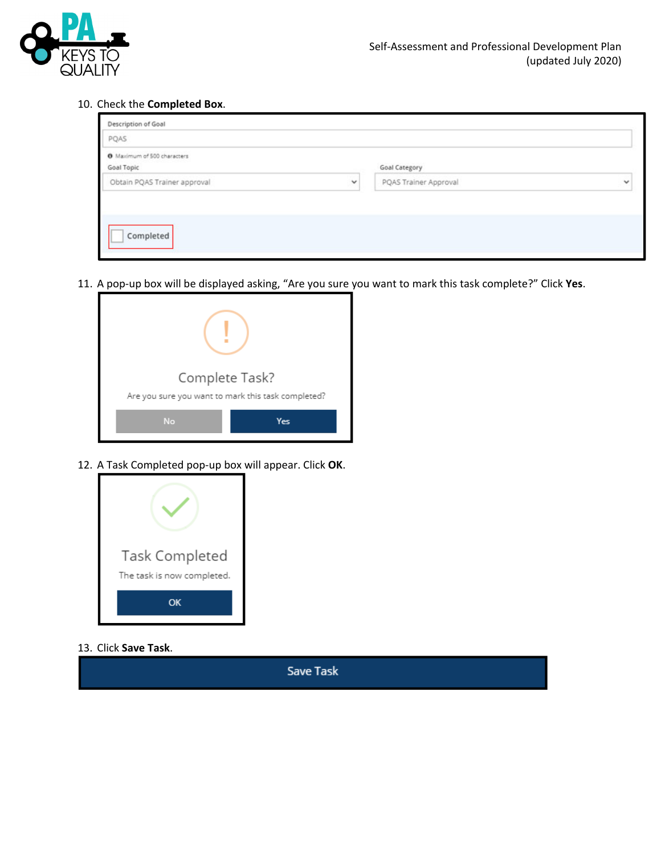

10. Check the **Completed Box**.

|              |                                       | PQAS                                      |
|--------------|---------------------------------------|-------------------------------------------|
|              |                                       |                                           |
|              | Goal Category                         | O Maximum of 500 characters<br>Goal Topic |
| $\checkmark$ | $\checkmark$<br>PQAS Trainer Approval | Obtain PQAS Trainer approval              |
|              |                                       |                                           |

11. A pop‐up box will be displayed asking, "Are you sure you want to mark this task complete?" Click **Yes**.

| Complete Task?                                     |     |
|----------------------------------------------------|-----|
| Are you sure you want to mark this task completed? |     |
| No                                                 | Yes |

12. A Task Completed pop‐up box will appear. Click **OK**.



13. Click **Save Task**.

**Save Task**